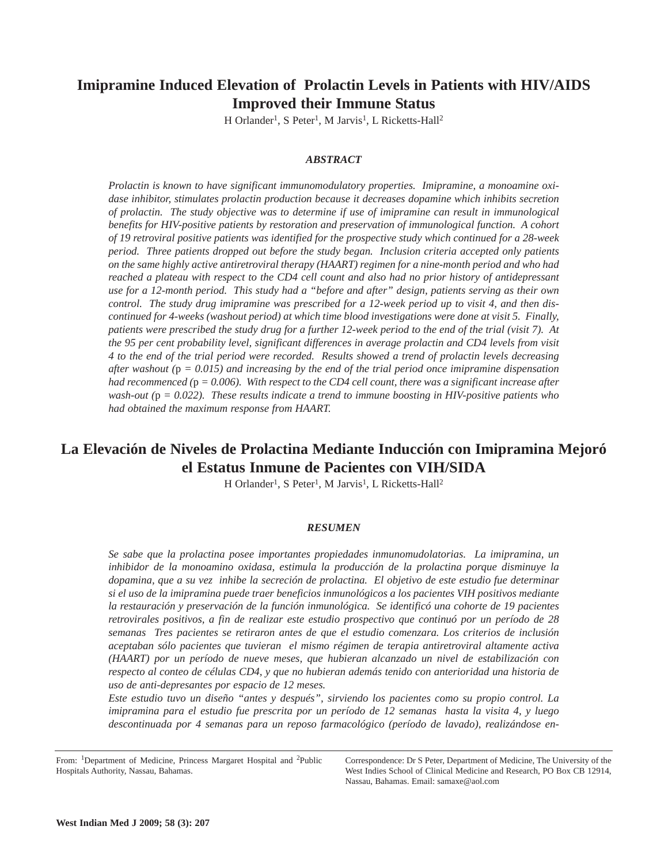# **Imipramine Induced Elevation of Prolactin Levels in Patients with HIV/AIDS Improved their Immune Status**

H Orlander<sup>1</sup>, S Peter<sup>1</sup>, M Jarvis<sup>1</sup>, L Ricketts-Hall<sup>2</sup>

# *ABSTRACT*

*Prolactin is known to have significant immunomodulatory properties. Imipramine, a monoamine oxidase inhibitor, stimulates prolactin production because it decreases dopamine which inhibits secretion of prolactin. The study objective was to determine if use of imipramine can result in immunological benefits for HIV-positive patients by restoration and preservation of immunological function. A cohort of 19 retroviral positive patients was identified for the prospective study which continued for a 28-week period. Three patients dropped out before the study began. Inclusion criteria accepted only patients on the same highly active antiretroviral therapy (HAART) regimen for a nine-month period and who had reached a plateau with respect to the CD4 cell count and also had no prior history of antidepressant use for a 12-month period. This study had a "before and after" design, patients serving as their own control. The study drug imipramine was prescribed for a 12-week period up to visit 4, and then discontinued for 4-weeks (washout period) at which time blood investigations were done at visit 5. Finally, patients were prescribed the study drug for a further 12-week period to the end of the trial (visit 7). At the 95 per cent probability level, significant differences in average prolactin and CD4 levels from visit 4 to the end of the trial period were recorded. Results showed a trend of prolactin levels decreasing after washout (*p *= 0.015) and increasing by the end of the trial period once imipramine dispensation had recommenced (*p *= 0.006). With respect to the CD4 cell count, there was a significant increase after wash-out (*p *= 0.022). These results indicate a trend to immune boosting in HIV-positive patients who had obtained the maximum response from HAART.* 

# **La Elevación de Niveles de Prolactina Mediante Inducción con Imipramina Mejoró el Estatus Inmune de Pacientes con VIH/SIDA**

H Orlander<sup>1</sup>, S Peter<sup>1</sup>, M Jarvis<sup>1</sup>, L Ricketts-Hall<sup>2</sup>

## *RESUMEN*

*Se sabe que la prolactina posee importantes propiedades inmunomudolatorias. La imipramina, un inhibidor de la monoamino oxidasa, estimula la producción de la prolactina porque disminuye la dopamina, que a su vez inhibe la secreción de prolactina. El objetivo de este estudio fue determinar si el uso de la imipramina puede traer beneficios inmunológicos a los pacientes VIH positivos mediante la restauración y preservación de la función inmunológica. Se identificó una cohorte de 19 pacientes retrovirales positivos, a fin de realizar este estudio prospectivo que continuó por un período de 28 semanas Tres pacientes se retiraron antes de que el estudio comenzara. Los criterios de inclusión aceptaban sólo pacientes que tuvieran el mismo régimen de terapia antiretroviral altamente activa (HAART) por un período de nueve meses, que hubieran alcanzado un nivel de estabilización con respecto al conteo de células CD4, y que no hubieran además tenido con anterioridad una historia de uso de anti-depresantes por espacio de 12 meses.* 

*Este estudio tuvo un diseño "antes y después", sirviendo los pacientes como su propio control. La imipramina para el estudio fue prescrita por un período de 12 semanas hasta la visita 4, y luego descontinuada por 4 semanas para un reposo farmacológico (período de lavado), realizándose en-*

From: <sup>1</sup>Department of Medicine, Princess Margaret Hospital and <sup>2</sup>Public Hospitals Authority, Nassau, Bahamas.

Correspondence: Dr S Peter, Department of Medicine, The University of the West Indies School of Clinical Medicine and Research, PO Box CB 12914, Nassau, Bahamas. Email: samaxe@aol.com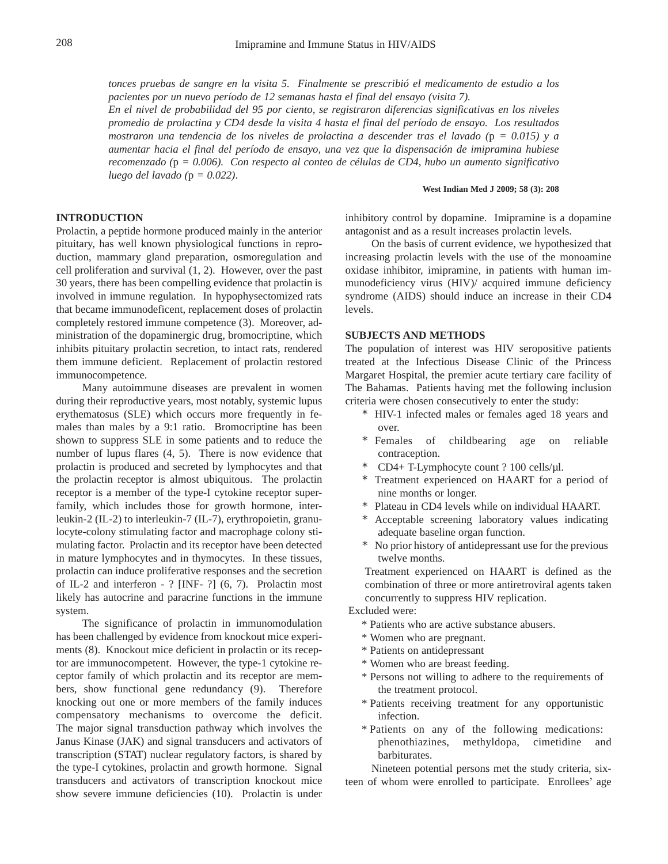*tonces pruebas de sangre en la visita 5. Finalmente se prescribió el medicamento de estudio a los pacientes por un nuevo período de 12 semanas hasta el final del ensayo (visita 7).* 

*En el nivel de probabilidad del 95 por ciento, se registraron diferencias significativas en los niveles promedio de prolactina y CD4 desde la visita 4 hasta el final del período de ensayo. Los resultados mostraron una tendencia de los niveles de prolactina a descender tras el lavado (*p *= 0.015) y a aumentar hacia el final del período de ensayo, una vez que la dispensación de imipramina hubiese recomenzado (*p *= 0.006). Con respecto al conteo de células de CD4, hubo un aumento significativo luego del lavado (*p *= 0.022)*.

#### **West Indian Med J 2009; 58 (3): 208**

# **INTRODUCTION**

Prolactin, a peptide hormone produced mainly in the anterior pituitary, has well known physiological functions in reproduction, mammary gland preparation, osmoregulation and cell proliferation and survival (1, 2). However, over the past 30 years, there has been compelling evidence that prolactin is involved in immune regulation. In hypophysectomized rats that became immunodeficent, replacement doses of prolactin completely restored immune competence (3). Moreover, administration of the dopaminergic drug, bromocriptine, which inhibits pituitary prolactin secretion, to intact rats, rendered them immune deficient. Replacement of prolactin restored immunocompetence.

Many autoimmune diseases are prevalent in women during their reproductive years, most notably, systemic lupus erythematosus (SLE) which occurs more frequently in females than males by a 9:1 ratio. Bromocriptine has been shown to suppress SLE in some patients and to reduce the number of lupus flares (4, 5). There is now evidence that prolactin is produced and secreted by lymphocytes and that the prolactin receptor is almost ubiquitous. The prolactin receptor is a member of the type-I cytokine receptor superfamily, which includes those for growth hormone, interleukin-2 (IL-2) to interleukin-7 (IL-7), erythropoietin, granulocyte-colony stimulating factor and macrophage colony stimulating factor. Prolactin and its receptor have been detected in mature lymphocytes and in thymocytes. In these tissues, prolactin can induce proliferative responses and the secretion of IL-2 and interferon - ? [INF- ?] (6, 7). Prolactin most likely has autocrine and paracrine functions in the immune system.

The significance of prolactin in immunomodulation has been challenged by evidence from knockout mice experiments (8). Knockout mice deficient in prolactin or its receptor are immunocompetent. However, the type-1 cytokine receptor family of which prolactin and its receptor are members, show functional gene redundancy (9). Therefore knocking out one or more members of the family induces compensatory mechanisms to overcome the deficit. The major signal transduction pathway which involves the Janus Kinase (JAK) and signal transducers and activators of transcription (STAT) nuclear regulatory factors, is shared by the type-I cytokines, prolactin and growth hormone. Signal transducers and activators of transcription knockout mice show severe immune deficiencies (10). Prolactin is under

inhibitory control by dopamine. Imipramine is a dopamine antagonist and as a result increases prolactin levels.

On the basis of current evidence, we hypothesized that increasing prolactin levels with the use of the monoamine oxidase inhibitor, imipramine, in patients with human immunodeficiency virus (HIV)/ acquired immune deficiency syndrome (AIDS) should induce an increase in their CD4 levels.

# **SUBJECTS AND METHODS**

The population of interest was HIV seropositive patients treated at the Infectious Disease Clinic of the Princess Margaret Hospital, the premier acute tertiary care facility of The Bahamas. Patients having met the following inclusion criteria were chosen consecutively to enter the study:

- \* HIV-1 infected males or females aged 18 years and over.
- \* Females of childbearing age on reliable contraception.
- \* CD4+ T-Lymphocyte count ? 100 cells/µl.
- \* Treatment experienced on HAART for a period of nine months or longer.
- \* Plateau in CD4 levels while on individual HAART.
- \* Acceptable screening laboratory values indicating adequate baseline organ function.
- \* No prior history of antidepressant use for the previous twelve months.

Treatment experienced on HAART is defined as the combination of three or more antiretroviral agents taken concurrently to suppress HIV replication.

Excluded were:

- \* Patients who are active substance abusers.
- \* Women who are pregnant.
- \* Patients on antidepressant
- \* Women who are breast feeding.
- \* Persons not willing to adhere to the requirements of the treatment protocol.
- \* Patients receiving treatment for any opportunistic infection.
- \* Patients on any of the following medications: phenothiazines, methyldopa, cimetidine and barbiturates.

Nineteen potential persons met the study criteria, sixteen of whom were enrolled to participate. Enrollees' age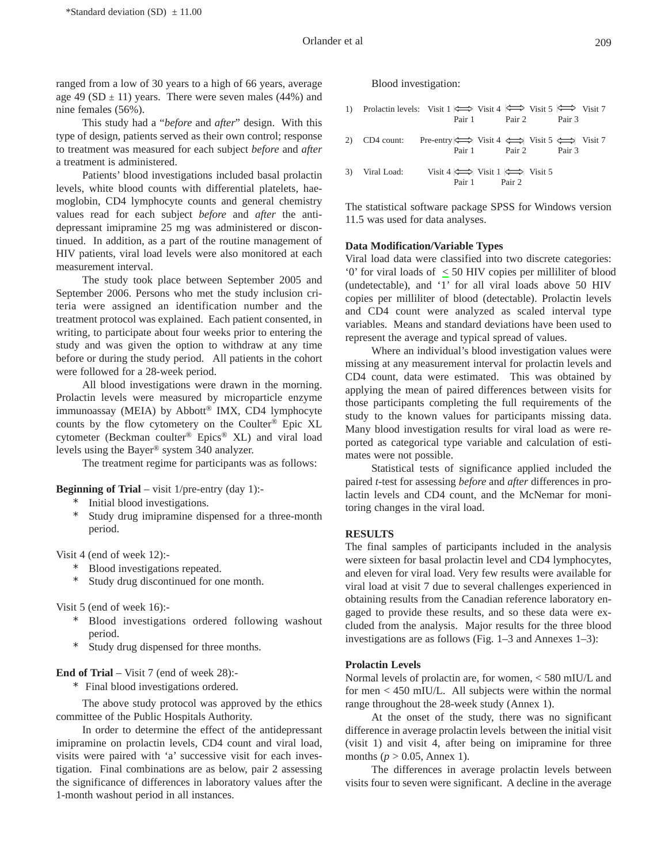ranged from a low of 30 years to a high of 66 years, average age 49 (SD  $\pm$  11) years. There were seven males (44%) and nine females (56%).

This study had a "*before* and *after*" design. With this type of design, patients served as their own control; response to treatment was measured for each subject *before* and *after* a treatment is administered.

Patients' blood investigations included basal prolactin levels, white blood counts with differential platelets, haemoglobin, CD4 lymphocyte counts and general chemistry values read for each subject *before* and *after* the antidepressant imipramine 25 mg was administered or discontinued. In addition, as a part of the routine management of HIV patients, viral load levels were also monitored at each measurement interval.

The study took place between September 2005 and September 2006. Persons who met the study inclusion criteria were assigned an identification number and the treatment protocol was explained. Each patient consented, in writing, to participate about four weeks prior to entering the study and was given the option to withdraw at any time before or during the study period. All patients in the cohort were followed for a 28-week period.

All blood investigations were drawn in the morning. Prolactin levels were measured by microparticle enzyme immunoassay (MEIA) by Abbott® IMX, CD4 lymphocyte counts by the flow cytometery on the Coulter® Epic XL cytometer (Beckman coulter® Epics® XL) and viral load levels using the Bayer® system 340 analyzer.

The treatment regime for participants was as follows:

**Beginning of Trial** – visit 1/pre-entry (day 1):-

- \* Initial blood investigations.
- \* Study drug imipramine dispensed for a three-month period.

Visit 4 (end of week 12):-

- \* Blood investigations repeated.
- \* Study drug discontinued for one month.

Visit 5 (end of week 16):-

- \* Blood investigations ordered following washout period.
- \* Study drug dispensed for three months.

#### **End of Trial** – Visit 7 (end of week 28):-

\* Final blood investigations ordered.

The above study protocol was approved by the ethics committee of the Public Hospitals Authority.

In order to determine the effect of the antidepressant imipramine on prolactin levels, CD4 count and viral load, visits were paired with 'a' successive visit for each investigation. Final combinations are as below, pair 2 assessing the significance of differences in laboratory values after the 1-month washout period in all instances.

### Blood investigation:

|  | 1) Prolactin levels: Visit 1 $\iff$ Visit 4 $\iff$ Visit 5 $\iff$ Visit 7 |        |
|--|---------------------------------------------------------------------------|--------|
|  | Pair 1 Pair 2                                                             | Pair 3 |
|  |                                                                           |        |

| 2) CD4 count: | Pre-entry $\iff$ Visit 4 $\iff$ Visit 5 $\iff$ Visit 7 |        |        |  |
|---------------|--------------------------------------------------------|--------|--------|--|
|               | Pair 1                                                 | Pair 2 | Pair 3 |  |

3) Viral Load: Visit 4  $\iff$  Visit 1  $\iff$  Visit 5 Pair 1 Pair 2

The statistical software package SPSS for Windows version 11.5 was used for data analyses.

#### **Data Modification/Variable Types**

Viral load data were classified into two discrete categories: '0' for viral loads of  $\leq 50$  HIV copies per milliliter of blood (undetectable), and '1' for all viral loads above 50 HIV copies per milliliter of blood (detectable). Prolactin levels and CD4 count were analyzed as scaled interval type variables. Means and standard deviations have been used to represent the average and typical spread of values.

Where an individual's blood investigation values were missing at any measurement interval for prolactin levels and CD4 count, data were estimated. This was obtained by applying the mean of paired differences between visits for those participants completing the full requirements of the study to the known values for participants missing data. Many blood investigation results for viral load as were reported as categorical type variable and calculation of estimates were not possible.

Statistical tests of significance applied included the paired *t*-test for assessing *before* and *after* differences in prolactin levels and CD4 count, and the McNemar for monitoring changes in the viral load.

# **RESULTS**

The final samples of participants included in the analysis were sixteen for basal prolactin level and CD4 lymphocytes, and eleven for viral load. Very few results were available for viral load at visit 7 due to several challenges experienced in obtaining results from the Canadian reference laboratory engaged to provide these results, and so these data were excluded from the analysis. Major results for the three blood investigations are as follows (Fig. 1–3 and Annexes 1–3):

## **Prolactin Levels**

Normal levels of prolactin are, for women, < 580 mIU/L and for men < 450 mIU/L. All subjects were within the normal range throughout the 28-week study (Annex 1).

At the onset of the study, there was no significant difference in average prolactin levels between the initial visit (visit 1) and visit 4, after being on imipramine for three months ( $p > 0.05$ , Annex 1).

The differences in average prolactin levels between visits four to seven were significant. A decline in the average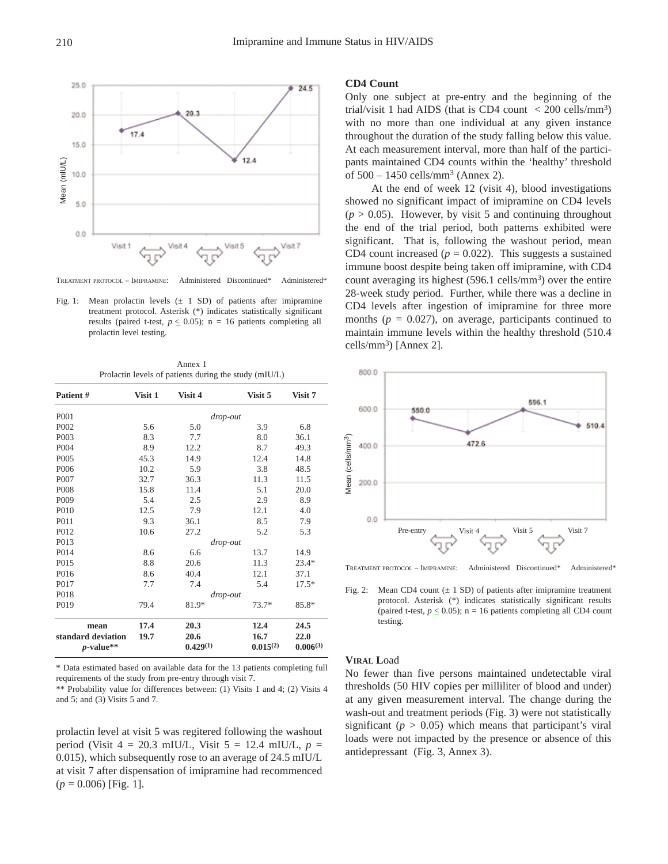

TREATMENT PROTOCOL – IMIPRAMINE: Administered Discontinued\* Administered\*

Fig. 1: Mean prolactin levels  $(\pm 1$  SD) of patients after imipramine treatment protocol. Asterisk (\*) indicates statistically significant results (paired t-test,  $p \leq 0.05$ ); n = 16 patients completing all prolactin level testing.

Annex 1 Prolactin levels of patients during the study (mIU/L)

| Patient #                          | Visit 1 | Visit 4               | Visit 5               | Visit 7               |
|------------------------------------|---------|-----------------------|-----------------------|-----------------------|
| P <sub>001</sub>                   |         |                       | drop-out              |                       |
| P <sub>0</sub> 02                  | 5.6     | 5.0                   | 3.9                   | 6.8                   |
| P <sub>00</sub> 3                  | 8.3     | 7.7                   | 8.0                   | 36.1                  |
| P004                               | 8.9     | 12.2                  | 8.7                   | 49.3                  |
| P <sub>005</sub>                   | 45.3    | 14.9                  | 12.4                  | 14.8                  |
| P <sub>006</sub>                   | 10.2    | 5.9                   | 3.8                   | 48.5                  |
| P007                               | 32.7    | 36.3                  | 11.3                  | 11.5                  |
| P <sub>008</sub>                   | 15.8    | 11.4                  | 5.1                   | 20.0                  |
| P <sub>009</sub>                   | 5.4     | 2.5                   | 2.9                   | 8.9                   |
| P <sub>0</sub> 10                  | 12.5    | 7.9                   | 12.1                  | 4.0                   |
| P <sub>011</sub>                   | 9.3     | 36.1                  | 8.5                   | 7.9                   |
| P <sub>012</sub>                   | 10.6    | 27.2                  | 5.2                   | 5.3                   |
| P013                               |         |                       | drop-out              |                       |
| P014                               | 8.6     | 6.6                   | 13.7                  | 14.9                  |
| P <sub>015</sub>                   | 8.8     | 20.6                  | 11.3                  | $23.4*$               |
| P016                               | 8.6     | 40.4                  | 12.1                  | 37.1                  |
| P <sub>017</sub>                   | 7.7     | 7.4                   | 5.4                   | $17.5*$               |
| P018                               |         | drop-out              |                       |                       |
| P <sub>0</sub> 19                  | 79.4    | 81.9*                 | $73.7*$               | $85.8*$               |
| mean                               | 17.4    | 20.3                  | 12.4                  | 24.5                  |
| standard deviation<br>$p$ -value** | 19.7    | 20.6<br>$0.429^{(1)}$ | 16.7<br>$0.015^{(2)}$ | 22.0<br>$0.006^{(3)}$ |

\* Data estimated based on available data for the 13 patients completing full requirements of the study from pre-entry through visit 7.

\*\* Probability value for differences between: (1) Visits 1 and 4; (2) Visits 4 and 5; and (3) Visits 5 and 7.

prolactin level at visit 5 was regitered following the washout period (Visit 4 = 20.3 mIU/L, Visit 5 = 12.4 mIU/L, *p* = 0.015), which subsequently rose to an average of 24.5 mIU/L at visit 7 after dispensation of imipramine had recommenced (*p* = 0.006) [Fig. 1].

# **CD4 Count**

Only one subject at pre-entry and the beginning of the trial/visit 1 had AIDS (that is CD4 count  $\langle$  200 cells/mm<sup>3</sup>) with no more than one individual at any given instance throughout the duration of the study falling below this value. At each measurement interval, more than half of the participants maintained CD4 counts within the 'healthy' threshold of  $500 - 1450$  cells/mm<sup>3</sup> (Annex 2).

At the end of week 12 (visit 4), blood investigations showed no significant impact of imipramine on CD4 levels  $(p > 0.05)$ . However, by visit 5 and continuing throughout the end of the trial period, both patterns exhibited were significant. That is, following the washout period, mean CD4 count increased  $(p = 0.022)$ . This suggests a sustained immune boost despite being taken off imipramine, with CD4 count averaging its highest  $(596.1 \text{ cells/mm}^3)$  over the entire 28-week study period. Further, while there was a decline in CD4 levels after ingestion of imipramine for three more months  $(p = 0.027)$ , on average, participants continued to maintain immune levels within the healthy threshold (510.4 cells/mm<sup>3</sup>) [Annex 2].



Fig. 2: Mean CD4 count  $(\pm 1 \text{ SD})$  of patients after imipramine treatment protocol. Asterisk (\*) indicates statistically significant results (paired t-test,  $p \le 0.05$ ); n = 16 patients completing all CD4 count testing.

#### **VIRAL L**oad

No fewer than five persons maintained undetectable viral thresholds (50 HIV copies per milliliter of blood and under) at any given measurement interval. The change during the wash-out and treatment periods (Fig. 3) were not statistically significant ( $p > 0.05$ ) which means that participant's viral loads were not impacted by the presence or absence of this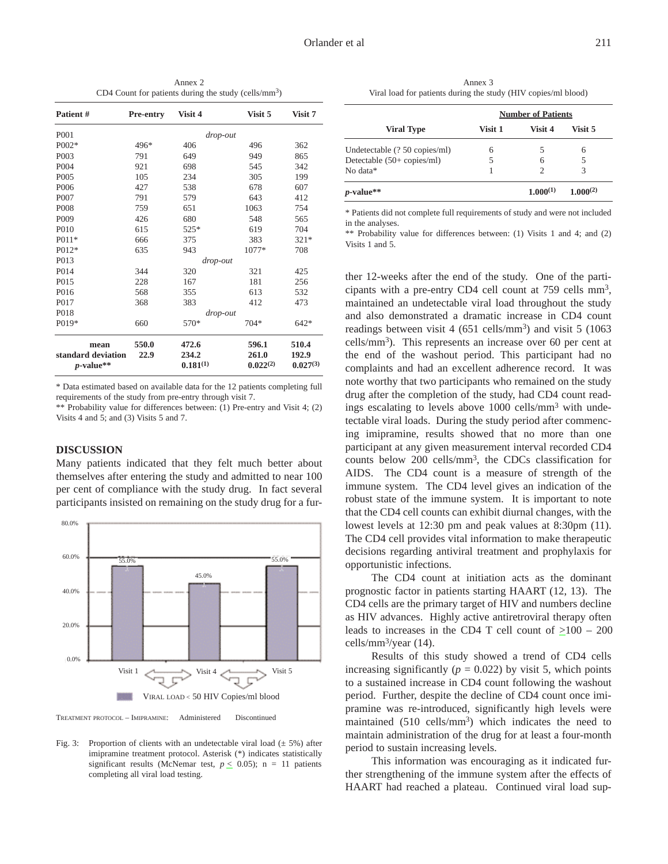Annex 2 CD4 Count for patients during the study (cells/ $mm<sup>3</sup>$ )

| Patient #                          | <b>Pre-entry</b> | Visit 4                | Visit 5                | Visit 7                |
|------------------------------------|------------------|------------------------|------------------------|------------------------|
| P <sub>001</sub>                   |                  | drop-out               |                        |                        |
| $P002*$                            | 496*             | 406                    | 496                    | 362                    |
| P <sub>00</sub> 3                  | 791              | 649                    | 949                    | 865                    |
| P <sub>004</sub>                   | 921              | 698                    | 545                    | 342                    |
| P <sub>005</sub>                   | 105              | 234                    | 305                    | 199                    |
| P <sub>006</sub>                   | 427              | 538                    | 678                    | 607                    |
| P <sub>007</sub>                   | 791              | 579                    | 643                    | 412                    |
| P <sub>008</sub>                   | 759              | 651                    | 1063                   | 754                    |
| P <sub>009</sub>                   | 426              | 680                    | 548                    | 565                    |
| P <sub>0</sub> 10                  | 615              | $525*$                 | 619                    | 704                    |
| $P011*$                            | 666              | 375                    | 383                    | $321*$                 |
| $P012*$                            | 635              | 943                    | 1077*                  | 708                    |
| P013                               |                  | drop-out               |                        |                        |
| P014                               | 344              | 320                    | 321                    | 425                    |
| P <sub>015</sub>                   | 228              | 167                    | 181                    | 256                    |
| P016                               | 568              | 355                    | 613                    | 532                    |
| P <sub>017</sub>                   | 368              | 383                    | 412                    | 473                    |
| P <sub>018</sub>                   |                  | drop-out               |                        |                        |
| P019*                              | 660              | 570*                   | $704*$                 | $642*$                 |
| mean                               | 550.0            | 472.6                  | 596.1                  | 510.4                  |
| standard deviation<br>$p$ -value** | 22.9             | 234.2<br>$0.181^{(1)}$ | 261.0<br>$0.022^{(2)}$ | 192.9<br>$0.027^{(3)}$ |

\* Data estimated based on available data for the 12 patients completing full requirements of the study from pre-entry through visit 7.

\*\* Probability value for differences between: (1) Pre-entry and Visit 4; (2) Visits 4 and 5; and (3) Visits 5 and 7.

## **DISCUSSION**

Many patients indicated that they felt much better about themselves after entering the study and admitted to near 100 per cent of compliance with the study drug. In fact several participants insisted on remaining on the study drug for a fur-



TREATMENT PROTOCOL – IMIPRAMINE: Administered Discontinued

Fig. 3: Proportion of clients with an undetectable viral load  $(\pm 5\%)$  after imipramine treatment protocol. Asterisk (\*) indicates statistically significant results (McNemar test,  $p \leq 0.05$ ); n = 11 patients completing all viral load testing.

Annex 3 Viral load for patients during the study (HIV copies/ml blood)

|                               | <b>Number of Patients</b> |          |               |  |
|-------------------------------|---------------------------|----------|---------------|--|
| <b>Viral Type</b>             | Visit 1                   | Visit 4  | Visit 5       |  |
| Undetectable (? 50 copies/ml) | 6                         |          | 6             |  |
| Detectable $(50+$ copies/ml)  |                           | 6        |               |  |
| No data*                      |                           |          | 3             |  |
| $p$ -value**                  |                           | 1.000(1) | $1.000^{(2)}$ |  |

\* Patients did not complete full requirements of study and were not included in the analyses.

\*\* Probability value for differences between: (1) Visits 1 and 4; and (2) Visits 1 and 5.

ther 12-weeks after the end of the study. One of the participants with a pre-entry CD4 cell count at 759 cells mm3, maintained an undetectable viral load throughout the study and also demonstrated a dramatic increase in CD4 count readings between visit 4 (651 cells/mm<sup>3</sup>) and visit 5 (1063 cells/mm3). This represents an increase over 60 per cent at the end of the washout period. This participant had no complaints and had an excellent adherence record. It was note worthy that two participants who remained on the study drug after the completion of the study, had CD4 count readings escalating to levels above 1000 cells/mm<sup>3</sup> with undetectable viral loads. During the study period after commencing imipramine, results showed that no more than one participant at any given measurement interval recorded CD4 counts below 200 cells/mm3, the CDCs classification for AIDS. The CD4 count is a measure of strength of the immune system. The CD4 level gives an indication of the robust state of the immune system. It is important to note that the CD4 cell counts can exhibit diurnal changes, with the lowest levels at 12:30 pm and peak values at 8:30pm (11). The CD4 cell provides vital information to make therapeutic decisions regarding antiviral treatment and prophylaxis for opportunistic infections.

The CD4 count at initiation acts as the dominant prognostic factor in patients starting HAART (12, 13). The CD4 cells are the primary target of HIV and numbers decline as HIV advances. Highly active antiretroviral therapy often leads to increases in the CD4 T cell count of  $\geq 100 - 200$ cells/mm3/year (14).

Results of this study showed a trend of CD4 cells increasing significantly  $(p = 0.022)$  by visit 5, which points to a sustained increase in CD4 count following the washout period. Further, despite the decline of CD4 count once imipramine was re-introduced, significantly high levels were maintained  $(510 \text{ cells/mm}^3)$  which indicates the need to maintain administration of the drug for at least a four-month period to sustain increasing levels.

This information was encouraging as it indicated further strengthening of the immune system after the effects of HAART had reached a plateau. Continued viral load sup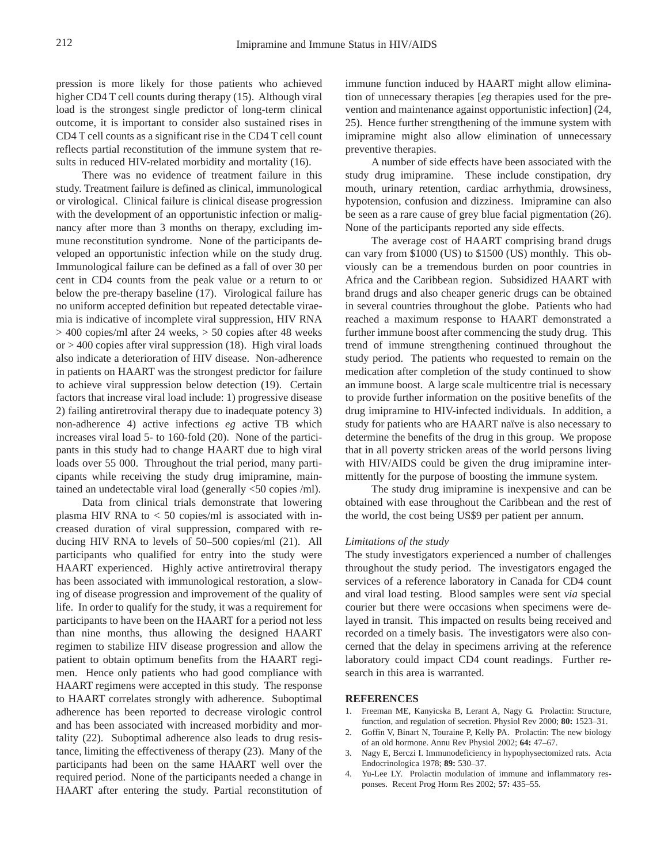pression is more likely for those patients who achieved higher CD4 T cell counts during therapy (15). Although viral load is the strongest single predictor of long-term clinical outcome, it is important to consider also sustained rises in CD4 T cell counts as a significant rise in the CD4 T cell count reflects partial reconstitution of the immune system that results in reduced HIV-related morbidity and mortality (16).

There was no evidence of treatment failure in this study. Treatment failure is defined as clinical, immunological or virological. Clinical failure is clinical disease progression with the development of an opportunistic infection or malignancy after more than 3 months on therapy, excluding immune reconstitution syndrome. None of the participants developed an opportunistic infection while on the study drug. Immunological failure can be defined as a fall of over 30 per cent in CD4 counts from the peak value or a return to or below the pre-therapy baseline (17). Virological failure has no uniform accepted definition but repeated detectable viraemia is indicative of incomplete viral suppression, HIV RNA > 400 copies/ml after 24 weeks, > 50 copies after 48 weeks or  $>$  400 copies after viral suppression (18). High viral loads also indicate a deterioration of HIV disease. Non-adherence in patients on HAART was the strongest predictor for failure to achieve viral suppression below detection (19). Certain factors that increase viral load include: 1) progressive disease 2) failing antiretroviral therapy due to inadequate potency 3) non-adherence 4) active infections *eg* active TB which increases viral load 5- to 160-fold (20). None of the participants in this study had to change HAART due to high viral loads over 55 000. Throughout the trial period, many participants while receiving the study drug imipramine, maintained an undetectable viral load (generally <50 copies /ml).

Data from clinical trials demonstrate that lowering plasma HIV RNA to  $<$  50 copies/ml is associated with increased duration of viral suppression, compared with reducing HIV RNA to levels of 50–500 copies/ml (21). All participants who qualified for entry into the study were HAART experienced. Highly active antiretroviral therapy has been associated with immunological restoration, a slowing of disease progression and improvement of the quality of life. In order to qualify for the study, it was a requirement for participants to have been on the HAART for a period not less than nine months, thus allowing the designed HAART regimen to stabilize HIV disease progression and allow the patient to obtain optimum benefits from the HAART regimen. Hence only patients who had good compliance with HAART regimens were accepted in this study. The response to HAART correlates strongly with adherence. Suboptimal adherence has been reported to decrease virologic control and has been associated with increased morbidity and mortality (22). Suboptimal adherence also leads to drug resistance, limiting the effectiveness of therapy (23). Many of the participants had been on the same HAART well over the required period. None of the participants needed a change in HAART after entering the study. Partial reconstitution of

immune function induced by HAART might allow elimination of unnecessary therapies [*eg* therapies used for the prevention and maintenance against opportunistic infection] (24, 25). Hence further strengthening of the immune system with imipramine might also allow elimination of unnecessary preventive therapies.

A number of side effects have been associated with the study drug imipramine. These include constipation, dry mouth, urinary retention, cardiac arrhythmia, drowsiness, hypotension, confusion and dizziness. Imipramine can also be seen as a rare cause of grey blue facial pigmentation (26). None of the participants reported any side effects.

The average cost of HAART comprising brand drugs can vary from \$1000 (US) to \$1500 (US) monthly. This obviously can be a tremendous burden on poor countries in Africa and the Caribbean region. Subsidized HAART with brand drugs and also cheaper generic drugs can be obtained in several countries throughout the globe. Patients who had reached a maximum response to HAART demonstrated a further immune boost after commencing the study drug. This trend of immune strengthening continued throughout the study period. The patients who requested to remain on the medication after completion of the study continued to show an immune boost. A large scale multicentre trial is necessary to provide further information on the positive benefits of the drug imipramine to HIV-infected individuals. In addition, a study for patients who are HAART naïve is also necessary to determine the benefits of the drug in this group. We propose that in all poverty stricken areas of the world persons living with HIV/AIDS could be given the drug imipramine intermittently for the purpose of boosting the immune system.

The study drug imipramine is inexpensive and can be obtained with ease throughout the Caribbean and the rest of the world, the cost being US\$9 per patient per annum.

## *Limitations of the study*

The study investigators experienced a number of challenges throughout the study period. The investigators engaged the services of a reference laboratory in Canada for CD4 count and viral load testing. Blood samples were sent *via* special courier but there were occasions when specimens were delayed in transit. This impacted on results being received and recorded on a timely basis. The investigators were also concerned that the delay in specimens arriving at the reference laboratory could impact CD4 count readings. Further research in this area is warranted.

#### **REFERENCES**

- 1. Freeman ME, Kanyicska B, Lerant A, Nagy G. Prolactin: Structure, function, and regulation of secretion. Physiol Rev 2000; **80:** 1523–31.
- 2. Goffin V, Binart N, Touraine P, Kelly PA. Prolactin: The new biology of an old hormone. Annu Rev Physiol 2002; **64:** 47–67.
- Nagy E, Berczi I. Immunodeficiency in hypophysectomized rats. Acta Endocrinologica 1978; **89:** 530–37.
- 4. Yu-Lee LY. Prolactin modulation of immune and inflammatory responses. Recent Prog Horm Res 2002; **57:** 435–55.